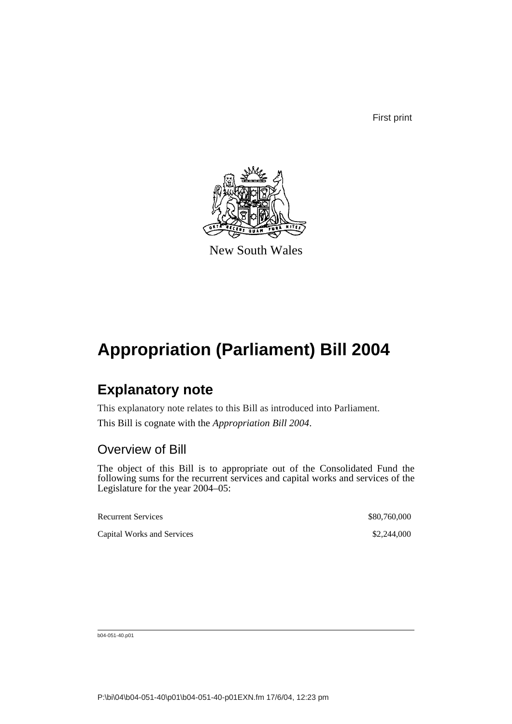First print



New South Wales

## **Appropriation (Parliament) Bill 2004**

### **Explanatory note**

This explanatory note relates to this Bill as introduced into Parliament.

This Bill is cognate with the *Appropriation Bill 2004*.

### Overview of Bill

The object of this Bill is to appropriate out of the Consolidated Fund the following sums for the recurrent services and capital works and services of the Legislature for the year 2004–05:

| <b>Recurrent Services</b>  | \$80,760,000 |
|----------------------------|--------------|
| Capital Works and Services | \$2,244,000  |

b04-051-40.p01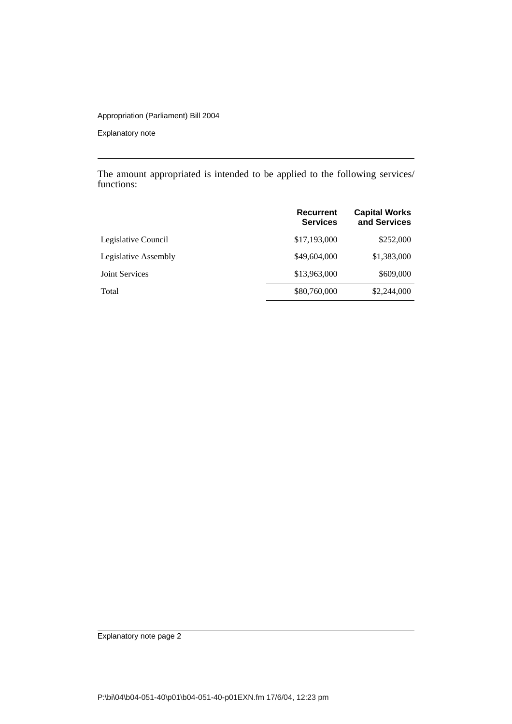#### Appropriation (Parliament) Bill 2004

Explanatory note

The amount appropriated is intended to be applied to the following services/ functions:

|                       | Recurrent<br><b>Services</b> | <b>Capital Works</b><br>and Services |
|-----------------------|------------------------------|--------------------------------------|
| Legislative Council   | \$17,193,000                 | \$252,000                            |
| Legislative Assembly  | \$49,604,000                 | \$1,383,000                          |
| <b>Joint Services</b> | \$13,963,000                 | \$609,000                            |
| Total                 | \$80,760,000                 | \$2,244,000                          |

Explanatory note page 2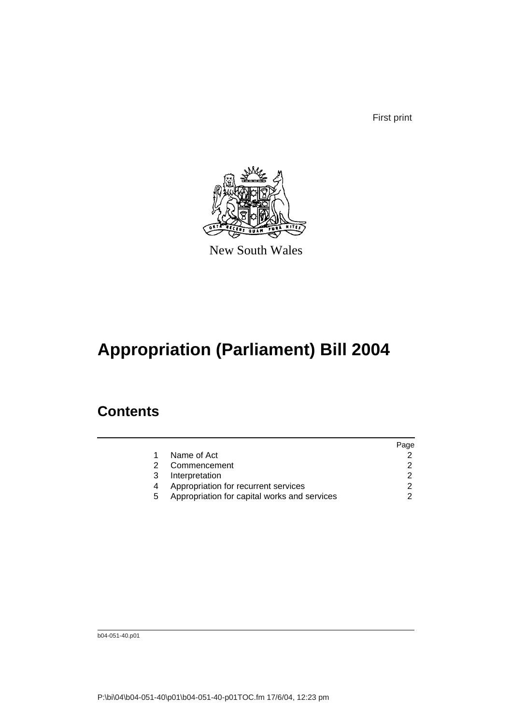First print



New South Wales

# **Appropriation (Parliament) Bill 2004**

## **Contents**

|   |                                              | Page |
|---|----------------------------------------------|------|
|   | Name of Act                                  |      |
| 2 | Commencement                                 | 2    |
| 3 | Interpretation                               |      |
|   | Appropriation for recurrent services         | 2    |
| 5 | Appropriation for capital works and services | 2    |
|   |                                              |      |

b04-051-40.p01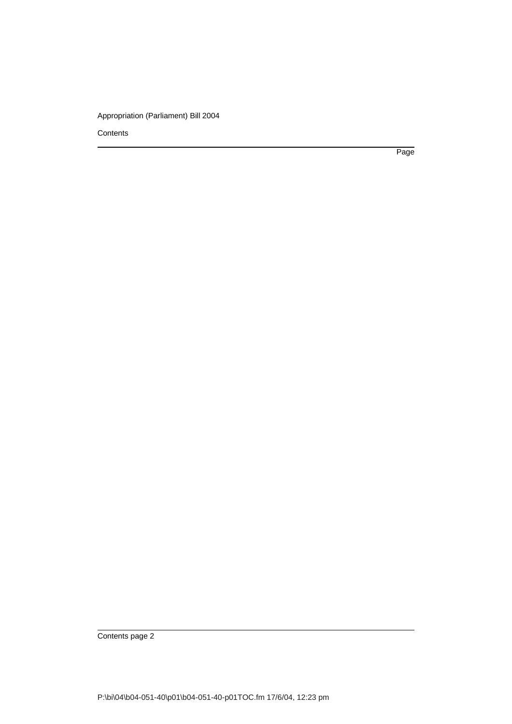#### Appropriation (Parliament) Bill 2004

**Contents** 

Page

Contents page 2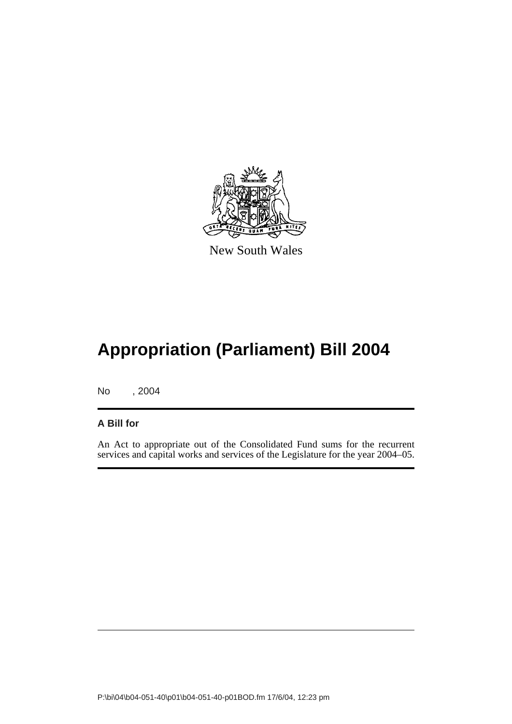

New South Wales

# **Appropriation (Parliament) Bill 2004**

No , 2004

#### **A Bill for**

An Act to appropriate out of the Consolidated Fund sums for the recurrent services and capital works and services of the Legislature for the year 2004–05.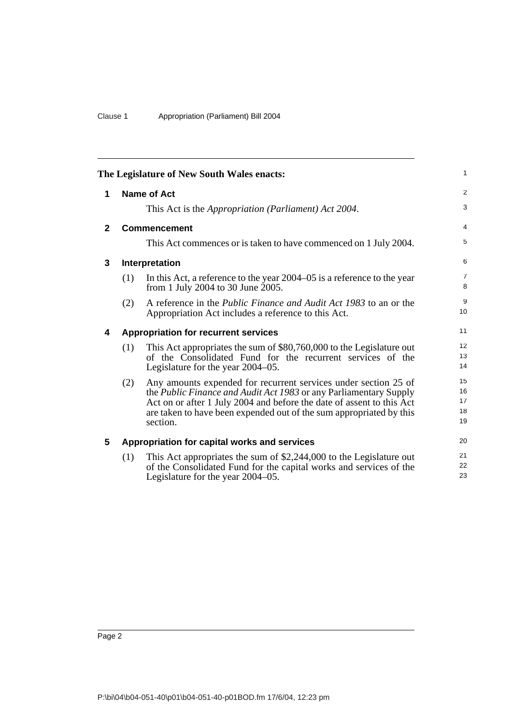<span id="page-5-4"></span><span id="page-5-3"></span><span id="page-5-2"></span><span id="page-5-1"></span><span id="page-5-0"></span>

|              |                | The Legislature of New South Wales enacts:                                                                                                                                                                                                                                                       | $\mathbf{1}$               |
|--------------|----------------|--------------------------------------------------------------------------------------------------------------------------------------------------------------------------------------------------------------------------------------------------------------------------------------------------|----------------------------|
| 1            |                | <b>Name of Act</b>                                                                                                                                                                                                                                                                               | 2                          |
|              |                | This Act is the <i>Appropriation</i> ( <i>Parliament</i> ) Act 2004.                                                                                                                                                                                                                             | 3                          |
| $\mathbf{2}$ |                | <b>Commencement</b>                                                                                                                                                                                                                                                                              | $\overline{4}$             |
|              |                | This Act commences or is taken to have commenced on 1 July 2004.                                                                                                                                                                                                                                 | 5                          |
| $\mathbf{3}$ | Interpretation |                                                                                                                                                                                                                                                                                                  | 6                          |
|              | (1)            | In this Act, a reference to the year 2004–05 is a reference to the year<br>from 1 July 2004 to 30 June 2005.                                                                                                                                                                                     | $\overline{7}$<br>8        |
|              | (2)            | A reference in the <i>Public Finance and Audit Act 1983</i> to an or the<br>Appropriation Act includes a reference to this Act.                                                                                                                                                                  | 9<br>10                    |
| 4            |                | <b>Appropriation for recurrent services</b>                                                                                                                                                                                                                                                      | 11                         |
|              | (1)            | This Act appropriates the sum of \$80,760,000 to the Legislature out<br>of the Consolidated Fund for the recurrent services of the<br>Legislature for the year 2004–05.                                                                                                                          | 12<br>13<br>14             |
|              | (2)            | Any amounts expended for recurrent services under section 25 of<br>the Public Finance and Audit Act 1983 or any Parliamentary Supply<br>Act on or after 1 July 2004 and before the date of assent to this Act<br>are taken to have been expended out of the sum appropriated by this<br>section. | 15<br>16<br>17<br>18<br>19 |
| 5            |                | Appropriation for capital works and services                                                                                                                                                                                                                                                     | 20                         |
|              | (1)            | This Act appropriates the sum of \$2,244,000 to the Legislature out<br>of the Consolidated Fund for the capital works and services of the<br>Legislature for the year 2004–05.                                                                                                                   | 21<br>22<br>23             |